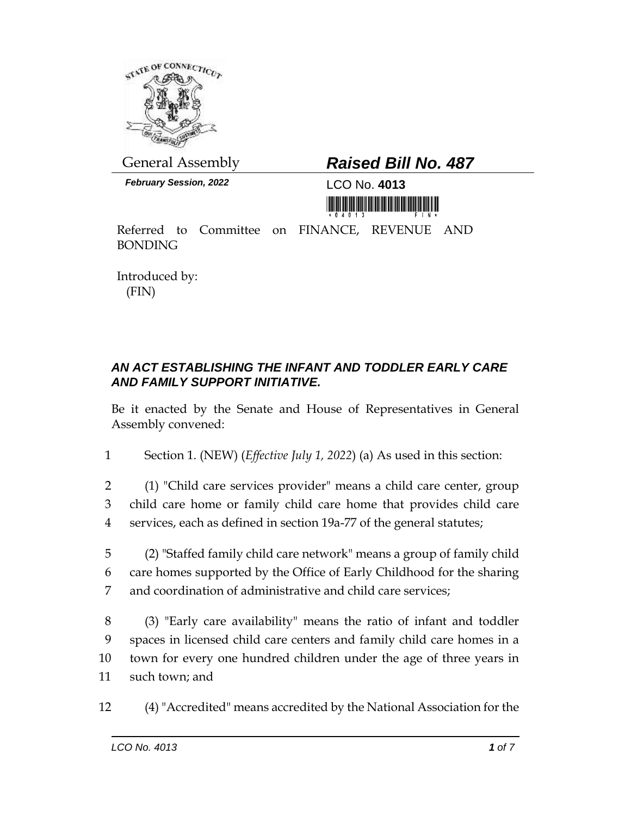

*February Session, 2022* LCO No. **4013**

## General Assembly *Raised Bill No. 487*

<u>nin in in ini ini mananan mini mini n</u>

Referred to Committee on FINANCE, REVENUE AND BONDING

Introduced by: (FIN)

## *AN ACT ESTABLISHING THE INFANT AND TODDLER EARLY CARE AND FAMILY SUPPORT INITIATIVE.*

Be it enacted by the Senate and House of Representatives in General Assembly convened:

1 Section 1. (NEW) (*Effective July 1, 2022*) (a) As used in this section:

2 (1) "Child care services provider" means a child care center, group 3 child care home or family child care home that provides child care 4 services, each as defined in section 19a-77 of the general statutes;

5 (2) "Staffed family child care network" means a group of family child 6 care homes supported by the Office of Early Childhood for the sharing 7 and coordination of administrative and child care services;

 (3) "Early care availability" means the ratio of infant and toddler spaces in licensed child care centers and family child care homes in a town for every one hundred children under the age of three years in such town; and

12 (4) "Accredited" means accredited by the National Association for the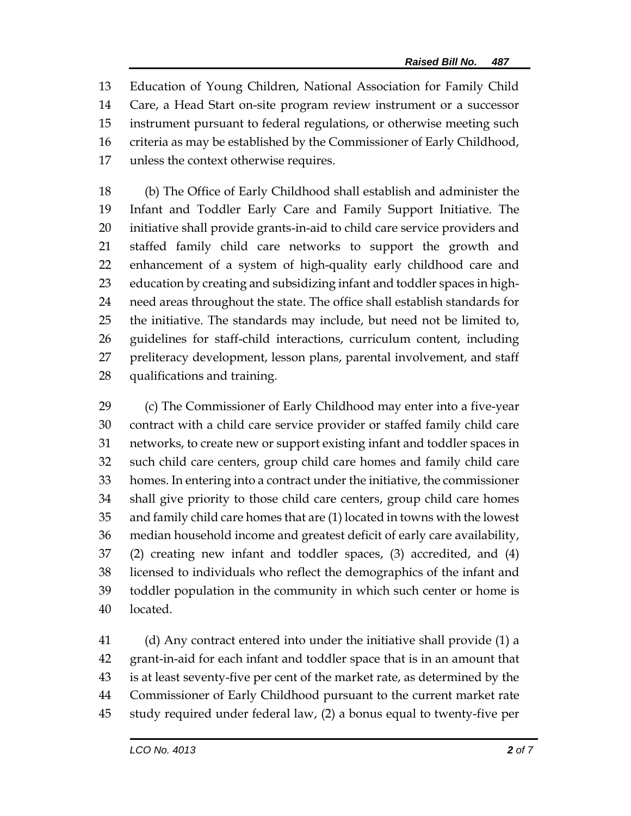Education of Young Children, National Association for Family Child Care, a Head Start on-site program review instrument or a successor instrument pursuant to federal regulations, or otherwise meeting such criteria as may be established by the Commissioner of Early Childhood, unless the context otherwise requires.

 (b) The Office of Early Childhood shall establish and administer the Infant and Toddler Early Care and Family Support Initiative. The initiative shall provide grants-in-aid to child care service providers and staffed family child care networks to support the growth and enhancement of a system of high-quality early childhood care and education by creating and subsidizing infant and toddler spaces in high- need areas throughout the state. The office shall establish standards for the initiative. The standards may include, but need not be limited to, guidelines for staff-child interactions, curriculum content, including preliteracy development, lesson plans, parental involvement, and staff qualifications and training.

 (c) The Commissioner of Early Childhood may enter into a five-year contract with a child care service provider or staffed family child care networks, to create new or support existing infant and toddler spaces in such child care centers, group child care homes and family child care homes. In entering into a contract under the initiative, the commissioner shall give priority to those child care centers, group child care homes and family child care homes that are (1) located in towns with the lowest median household income and greatest deficit of early care availability, (2) creating new infant and toddler spaces, (3) accredited, and (4) licensed to individuals who reflect the demographics of the infant and toddler population in the community in which such center or home is located.

 (d) Any contract entered into under the initiative shall provide (1) a grant-in-aid for each infant and toddler space that is in an amount that is at least seventy-five per cent of the market rate, as determined by the Commissioner of Early Childhood pursuant to the current market rate study required under federal law, (2) a bonus equal to twenty-five per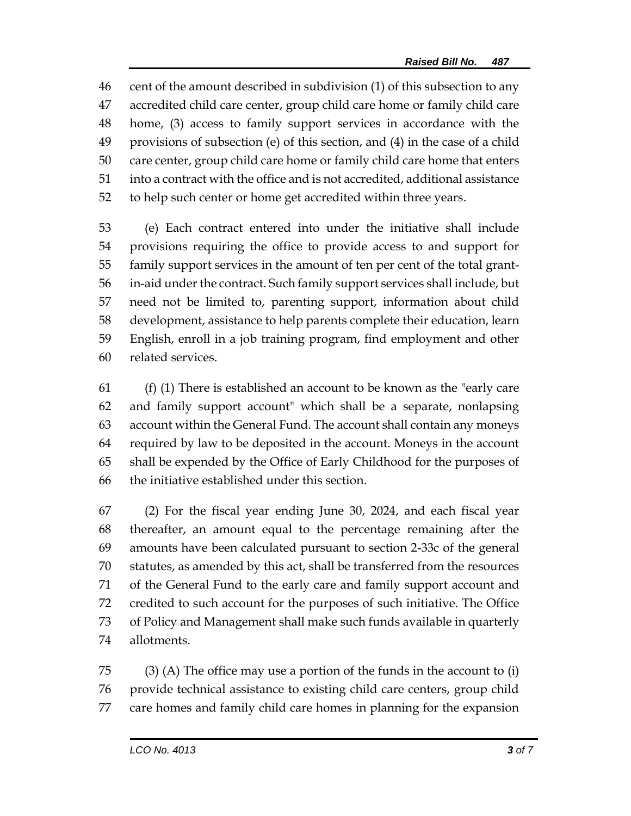cent of the amount described in subdivision (1) of this subsection to any accredited child care center, group child care home or family child care home, (3) access to family support services in accordance with the provisions of subsection (e) of this section, and (4) in the case of a child care center, group child care home or family child care home that enters into a contract with the office and is not accredited, additional assistance to help such center or home get accredited within three years.

 (e) Each contract entered into under the initiative shall include provisions requiring the office to provide access to and support for family support services in the amount of ten per cent of the total grant- in-aid under the contract. Such family support services shall include, but need not be limited to, parenting support, information about child development, assistance to help parents complete their education, learn English, enroll in a job training program, find employment and other related services.

 (f) (1) There is established an account to be known as the "early care and family support account" which shall be a separate, nonlapsing account within the General Fund. The account shall contain any moneys required by law to be deposited in the account. Moneys in the account shall be expended by the Office of Early Childhood for the purposes of the initiative established under this section.

 (2) For the fiscal year ending June 30, 2024, and each fiscal year thereafter, an amount equal to the percentage remaining after the amounts have been calculated pursuant to section 2-33c of the general statutes, as amended by this act, shall be transferred from the resources of the General Fund to the early care and family support account and credited to such account for the purposes of such initiative. The Office of Policy and Management shall make such funds available in quarterly allotments.

 (3) (A) The office may use a portion of the funds in the account to (i) provide technical assistance to existing child care centers, group child care homes and family child care homes in planning for the expansion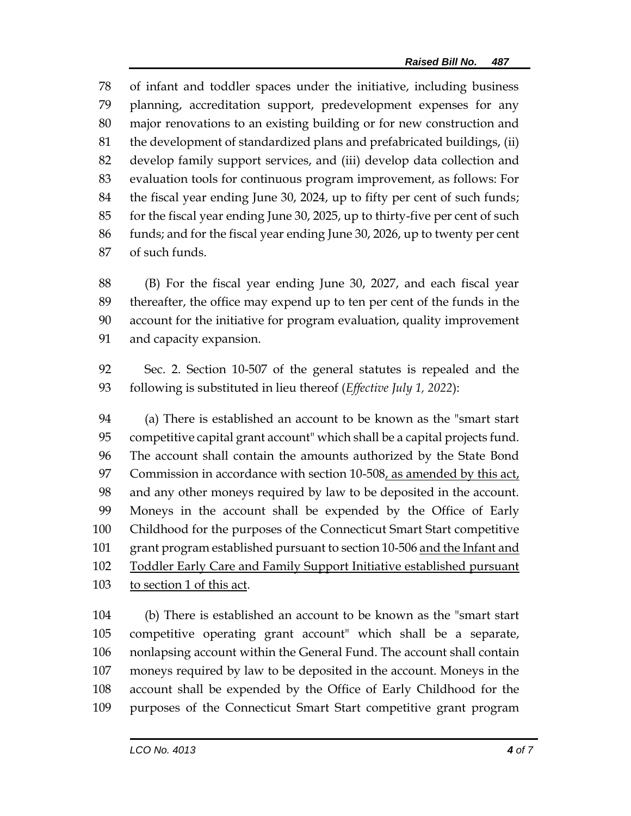of infant and toddler spaces under the initiative, including business planning, accreditation support, predevelopment expenses for any major renovations to an existing building or for new construction and the development of standardized plans and prefabricated buildings, (ii) develop family support services, and (iii) develop data collection and evaluation tools for continuous program improvement, as follows: For the fiscal year ending June 30, 2024, up to fifty per cent of such funds; for the fiscal year ending June 30, 2025, up to thirty-five per cent of such funds; and for the fiscal year ending June 30, 2026, up to twenty per cent of such funds.

 (B) For the fiscal year ending June 30, 2027, and each fiscal year thereafter, the office may expend up to ten per cent of the funds in the account for the initiative for program evaluation, quality improvement and capacity expansion.

 Sec. 2. Section 10-507 of the general statutes is repealed and the following is substituted in lieu thereof (*Effective July 1, 2022*):

 (a) There is established an account to be known as the "smart start competitive capital grant account" which shall be a capital projects fund. The account shall contain the amounts authorized by the State Bond Commission in accordance with section 10-508, as amended by this act, and any other moneys required by law to be deposited in the account. Moneys in the account shall be expended by the Office of Early Childhood for the purposes of the Connecticut Smart Start competitive 101 grant program established pursuant to section 10-506 and the Infant and Toddler Early Care and Family Support Initiative established pursuant to section 1 of this act.

 (b) There is established an account to be known as the "smart start competitive operating grant account" which shall be a separate, nonlapsing account within the General Fund. The account shall contain moneys required by law to be deposited in the account. Moneys in the account shall be expended by the Office of Early Childhood for the purposes of the Connecticut Smart Start competitive grant program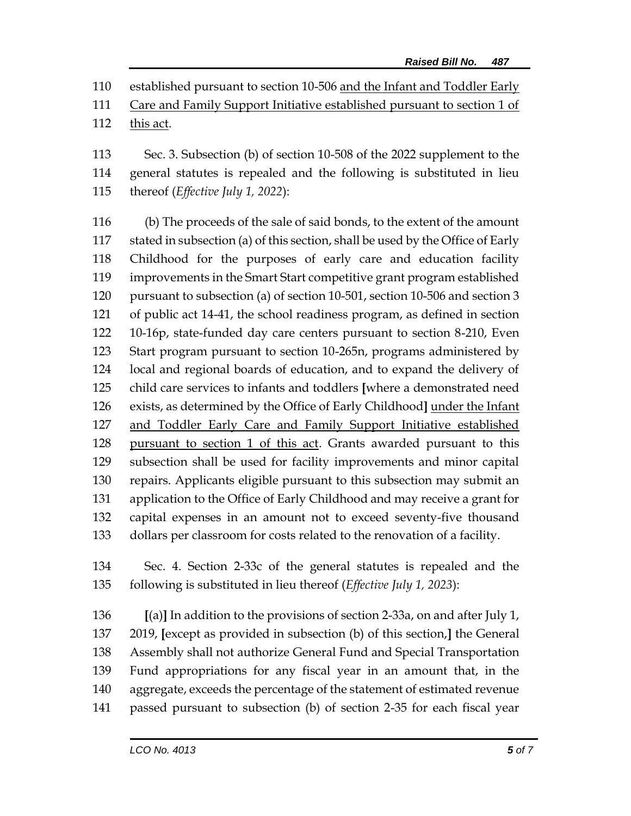established pursuant to section 10-506 and the Infant and Toddler Early

Care and Family Support Initiative established pursuant to section 1 of

this act.

 Sec. 3. Subsection (b) of section 10-508 of the 2022 supplement to the general statutes is repealed and the following is substituted in lieu thereof (*Effective July 1, 2022*):

 (b) The proceeds of the sale of said bonds, to the extent of the amount stated in subsection (a) of this section, shall be used by the Office of Early Childhood for the purposes of early care and education facility improvements in the Smart Start competitive grant program established pursuant to subsection (a) of section 10-501, section 10-506 and section 3 of public act 14-41, the school readiness program, as defined in section 10-16p, state-funded day care centers pursuant to section 8-210, Even Start program pursuant to section 10-265n, programs administered by local and regional boards of education, and to expand the delivery of child care services to infants and toddlers **[**where a demonstrated need exists, as determined by the Office of Early Childhood**]** under the Infant and Toddler Early Care and Family Support Initiative established pursuant to section 1 of this act. Grants awarded pursuant to this subsection shall be used for facility improvements and minor capital repairs. Applicants eligible pursuant to this subsection may submit an application to the Office of Early Childhood and may receive a grant for capital expenses in an amount not to exceed seventy-five thousand dollars per classroom for costs related to the renovation of a facility.

 Sec. 4. Section 2-33c of the general statutes is repealed and the following is substituted in lieu thereof (*Effective July 1, 2023*):

 **[**(a)**]** In addition to the provisions of section 2-33a, on and after July 1, 2019, **[**except as provided in subsection (b) of this section,**]** the General Assembly shall not authorize General Fund and Special Transportation Fund appropriations for any fiscal year in an amount that, in the aggregate, exceeds the percentage of the statement of estimated revenue passed pursuant to subsection (b) of section 2-35 for each fiscal year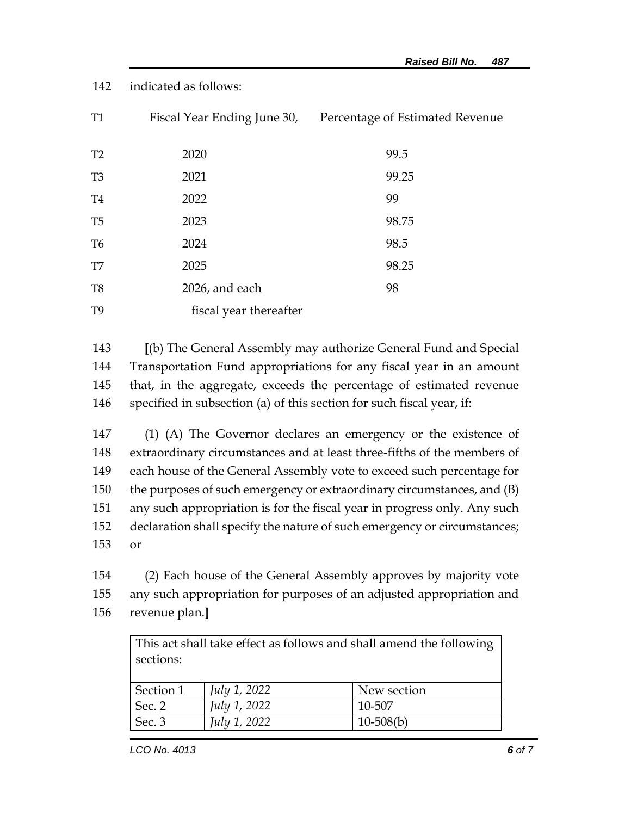## 142 indicated as follows:

| <b>T1</b>      |                        | Fiscal Year Ending June 30, Percentage of Estimated Revenue |
|----------------|------------------------|-------------------------------------------------------------|
| T <sub>2</sub> | 2020                   | 99.5                                                        |
| T <sub>3</sub> | 2021                   | 99.25                                                       |
| T <sub>4</sub> | 2022                   | 99                                                          |
| T <sub>5</sub> | 2023                   | 98.75                                                       |
| T <sub>6</sub> | 2024                   | 98.5                                                        |
| T <sub>7</sub> | 2025                   | 98.25                                                       |
| T <sub>8</sub> | 2026, and each         | 98                                                          |
| T <sub>9</sub> | fiscal year thereafter |                                                             |

 **[**(b) The General Assembly may authorize General Fund and Special Transportation Fund appropriations for any fiscal year in an amount that, in the aggregate, exceeds the percentage of estimated revenue specified in subsection (a) of this section for such fiscal year, if:

 (1) (A) The Governor declares an emergency or the existence of extraordinary circumstances and at least three-fifths of the members of each house of the General Assembly vote to exceed such percentage for the purposes of such emergency or extraordinary circumstances, and (B) any such appropriation is for the fiscal year in progress only. Any such declaration shall specify the nature of such emergency or circumstances; 153 or

154 (2) Each house of the General Assembly approves by majority vote 155 any such appropriation for purposes of an adjusted appropriation and 156 revenue plan.**]**

| This act shall take effect as follows and shall amend the following |                     |             |  |  |  |
|---------------------------------------------------------------------|---------------------|-------------|--|--|--|
| sections:                                                           |                     |             |  |  |  |
|                                                                     |                     |             |  |  |  |
| Section 1                                                           | <i>July 1, 2022</i> | New section |  |  |  |
| Sec. 2                                                              | <i>July 1, 2022</i> | 10-507      |  |  |  |
| Sec. 3                                                              | July 1, 2022        | $10-508(b)$ |  |  |  |